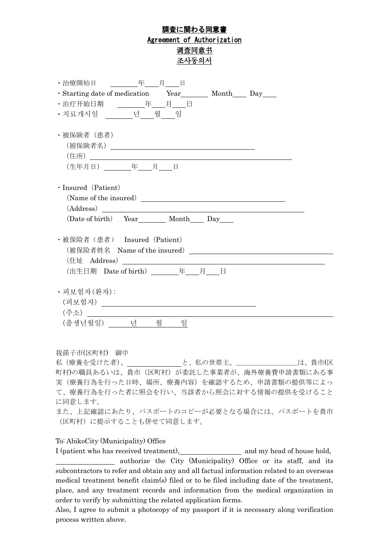# 調査に関わる同意書 Agreement of Authorization 调查同意书 조사동의서

| ・治療開始日 <u>- 年 月 日</u>                                                                                                                                                                                                                                                                                                                                                                                                                                    |  |  |  |  |  |  |
|----------------------------------------------------------------------------------------------------------------------------------------------------------------------------------------------------------------------------------------------------------------------------------------------------------------------------------------------------------------------------------------------------------------------------------------------------------|--|--|--|--|--|--|
| · Starting date of medication Year__________ Month______ Day______                                                                                                                                                                                                                                                                                                                                                                                       |  |  |  |  |  |  |
| ・治疗开始日期 <u>________年____月 __</u> _日                                                                                                                                                                                                                                                                                                                                                                                                                      |  |  |  |  |  |  |
| • 치료개시일 ______ 년___ 월___ 일                                                                                                                                                                                                                                                                                                                                                                                                                               |  |  |  |  |  |  |
| ・被保険者(患者)                                                                                                                                                                                                                                                                                                                                                                                                                                                |  |  |  |  |  |  |
| (生年月日) _________年____月 日                                                                                                                                                                                                                                                                                                                                                                                                                                 |  |  |  |  |  |  |
| $\cdot$ Insured (Patient)                                                                                                                                                                                                                                                                                                                                                                                                                                |  |  |  |  |  |  |
| $\left( \text{Address}\right) \begin{tabular}{ l l } \hline \multicolumn{3}{ l }{\textbf{1}} & \multicolumn{3}{ l }{\textbf{1}} & \multicolumn{3}{ l }{\textbf{1}} & \multicolumn{3}{ l }{\textbf{1}} & \multicolumn{3}{ l }{\textbf{1}} & \multicolumn{3}{ l }{\textbf{1}} & \multicolumn{3}{ l }{\textbf{1}} & \multicolumn{3}{ l }{\textbf{1}} & \multicolumn{3}{ l }{\textbf{1}} & \multicolumn{3}{ l }{\textbf{1}} & \multicolumn{3}{ l }{\textbf{$ |  |  |  |  |  |  |
|                                                                                                                                                                                                                                                                                                                                                                                                                                                          |  |  |  |  |  |  |
| ・被保险者 (患者) Insured (Patient)                                                                                                                                                                                                                                                                                                                                                                                                                             |  |  |  |  |  |  |
|                                                                                                                                                                                                                                                                                                                                                                                                                                                          |  |  |  |  |  |  |
|                                                                                                                                                                                                                                                                                                                                                                                                                                                          |  |  |  |  |  |  |
| (出生日期 Date of birth) ________年____月____日                                                                                                                                                                                                                                                                                                                                                                                                                 |  |  |  |  |  |  |
| • 피보험자 (화자):                                                                                                                                                                                                                                                                                                                                                                                                                                             |  |  |  |  |  |  |
| (출생년월일) 년 월<br>일                                                                                                                                                                                                                                                                                                                                                                                                                                         |  |  |  |  |  |  |

我孫子市(区町村) 御中

私 (療養を受けた者)、\_\_\_\_\_\_\_\_\_\_\_\_\_\_\_\_\_と、私の世帯主、\_\_\_\_\_\_\_\_\_\_\_\_\_\_\_\_\_は、貴市(区 町村)の職員あるいは、貴市(区町村)が委託した事業者が、海外療養費申請書類にある事 実(療養行為を行った日時、場所、療養内容)を確認するため、申請書類の提供等によっ て、療養行為を行った者に照会を行い、当該者から照会に対する情報の提供を受けること に同意します。

また、上記確認にあたり、パスポートのコピーが必要となる場合には、パスポートを貴市 (区町村)に提示することも併せて同意します。

### To: AbikoCity (Municipality) Office

I (patient who has received treatment), and my head of house hold, authorize the City (Municipality) Office or its staff, and its subcontractors to refer and obtain any and all factual information related to an overseas medical treatment benefit claim(s) filed or to be filed including date of the treatment, place, and any treatment records and information from the medical organization in order to verify by submitting the related application forms.

Also, I agree to submit a photocopy of my passport if it is necessary along verification process written above.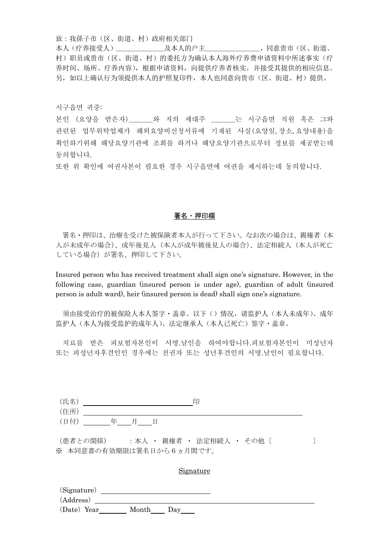致:我孫子市(区、街道、村)政府相关部门 本人(疗养接受人)\_\_\_\_\_\_\_及本人的户主\_\_\_\_\_\_\_\_,同意贵市(区、街道、 村)职员或贵市(区、街道、村)的委托方为确认本人海外疗养费申请资料中所述事实(疗 养时间、场所、疗养内容),根据申请资料,向提供疗养者核实,并接受其提供的相应信息。 另,如以上确认行为须提供本人的护照复印件,本人也同意向贵市(区、街道、村)提供。

시구읍면 귀중:

본인 (요양을 받은자) 아 저의 세대주 는 시구읍면 직원 혹은 그와 관련된 업무위탁업체가 해외요양비신청서류에 기재된 사실(요양일,장소,요양내용)을 확인하기위해 해당요양기관에 조회를 하거나 해당요양기관으로부터 정보를 제공받는데 동의합니다.

또한 위 확인에 여권사본이 필요한 경우 시구읍면에 여권을 제시하는데 동의합니다.

#### 署名・押印欄

署名・押印は、治療を受けた被保険者本人が行って下さい。なお次の場合は、親権者(本 人が未成年の場合)、成年後見人(本人が成年被後見人の場合)、法定相続人(本人が死亡 している場合)が署名、押印して下さい。

Insured person who has received treatment shall sign one's signature. However, in the following case, guardian (insured person is under age), guardian of adult (insured person is adult ward), heir (insured person is dead) shall sign one's signature.

须由接受治疗的被保险人本人签字·盖章。以下()情况, 请监护人(本人未成年)、成年 监护人(本人为接受监护的成年人)、法定继承人(本人已死亡)签字·盖章。

치료를 받은 피보험자본인이 서명.날인을 하여야합니다.피보험자본인이 미성년자 또는 피성년자후견인인 경우에는 친권자 또는 성년후견인의 서명.날인이 필요합니다.

| 工 夕<br>√∕⊡ |     |   | 印 |
|------------|-----|---|---|
| (住所)       |     |   |   |
| (日付)       | - 年 | 日 |   |

(患者との関係) : 本人 · 親権者 · 法定相続人 · その他 [ ) ※ 本同意書の有効期限は署名日から6ヵ月間です。

#### Signature

| (Signature) |       |     |  |
|-------------|-------|-----|--|
| (Address)   |       |     |  |
| (Date) Year | Month | Day |  |